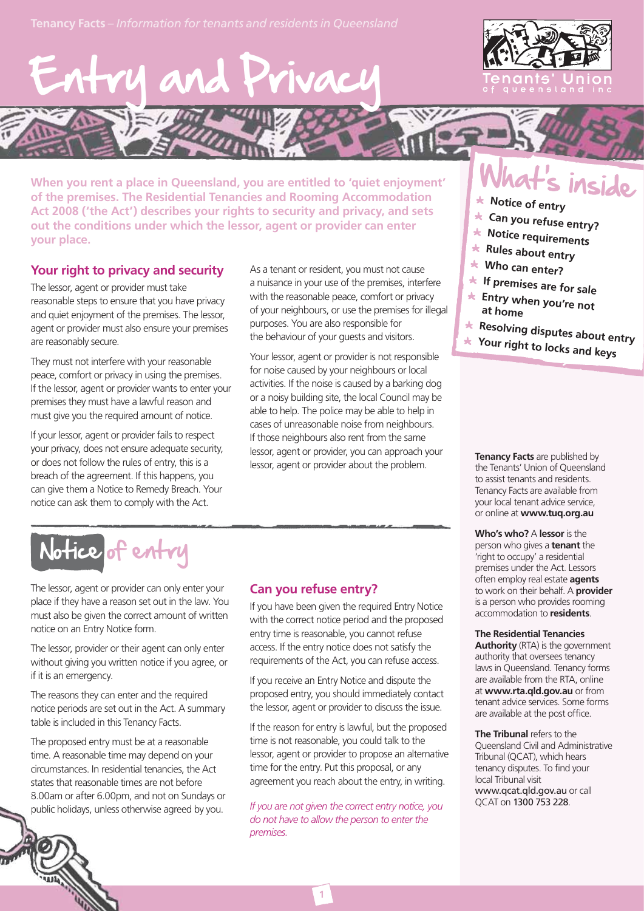



**When you rent a place in Queensland, you are entitled to 'quiet enjoyment' of the premises. The Residential Tenancies and Rooming Accommodation Act 2008 ('the Act') describes your rights to security and privacy, and sets out the conditions under which the lessor, agent or provider can enter your place.**

### **Your right to privacy and security**

The lessor, agent or provider must take reasonable steps to ensure that you have privacy and quiet enjoyment of the premises. The lessor, agent or provider must also ensure your premises are reasonably secure.

They must not interfere with your reasonable peace, comfort or privacy in using the premises. If the lessor, agent or provider wants to enter your premises they must have a lawful reason and must give you the required amount of notice.

If your lessor, agent or provider fails to respect your privacy, does not ensure adequate security, or does not follow the rules of entry, this is a breach of the agreement. If this happens, you can give them a Notice to Remedy Breach. Your notice can ask them to comply with the Act.

As a tenant or resident, you must not cause a nuisance in your use of the premises, interfere with the reasonable peace, comfort or privacy of your neighbours, or use the premises for illegal purposes. You are also responsible for the behaviour of your guests and visitors.

Your lessor, agent or provider is not responsible for noise caused by your neighbours or local activities. If the noise is caused by a barking dog or a noisy building site, the local Council may be able to help. The police may be able to help in cases of unreasonable noise from neighbours. If those neighbours also rent from the same lessor, agent or provider, you can approach your lessor, agent or provider about the problem.

## Notice of entry

The lessor, agent or provider can only enter your place if they have a reason set out in the law. You must also be given the correct amount of written notice on an Entry Notice form.

The lessor, provider or their agent can only enter without giving you written notice if you agree, or if it is an emergency.

The reasons they can enter and the required notice periods are set out in the Act. A summary table is included in this Tenancy Facts.

The proposed entry must be at a reasonable time. A reasonable time may depend on your circumstances. In residential tenancies, the Act states that reasonable times are not before 8.00am or after 6.00pm, and not on Sundays or 6.00p public holidays, unless otherwise agreed by you. holidays,

### **Can you refuse entry?**

If you have been given the required Entry Notice with the correct notice period and the proposed entry time is reasonable, you cannot refuse access. If the entry notice does not satisfy the requirements of the Act, you can refuse access.

If you receive an Entry Notice and dispute the proposed entry, you should immediately contact the lessor, agent or provider to discuss the issue.

If the reason for entry is lawful, but the proposed time is not reasonable, you could talk to the lessor, agent or provider to propose an alternative time for the entry. Put this proposal, or any agreement you reach about the entry, in writing.

*If you are not given the correct entry notice, you do not have to allow the person to enter the premises.*

**1**

## at's inside

- **Notice of entry**
- **Can you refuse entry?**
- **Notice requirements**
- **Rules about entry**
- **Who can enter?**
- **If premises are for sale**
- **Entry when you're not at home**
- **Resolving disputes about entry**
- **Your right to locks and keys**

**Tenancy Facts** are published by the Tenants' Union of Queensland to assist tenants and residents. Tenancy Facts are available from your local tenant advice service, or online at **www.tuq.org.au**

**Who's who?** A **lessor** is the person who gives a **tenant** the 'right to occupy' a residential premises under the Act. Lessors often employ real estate **agents** to work on their behalf. A **provider** is a person who provides rooming accommodation to **residents**.

**The Residential Tenancies Authority** (RTA) is the government authority that oversees tenancy laws in Queensland. Tenancy forms are available from the RTA, online at **www.rta.qld.gov.au** or from tenant advice services. Some forms are available at the post office.

**The Tribunal** refers to the Queensland Civil and Administrative Tribunal (QCAT), which hears tenancy disputes. To find your local Tribunal visit www.qcat.qld.gov.au or call QCAT on 1300 753 228.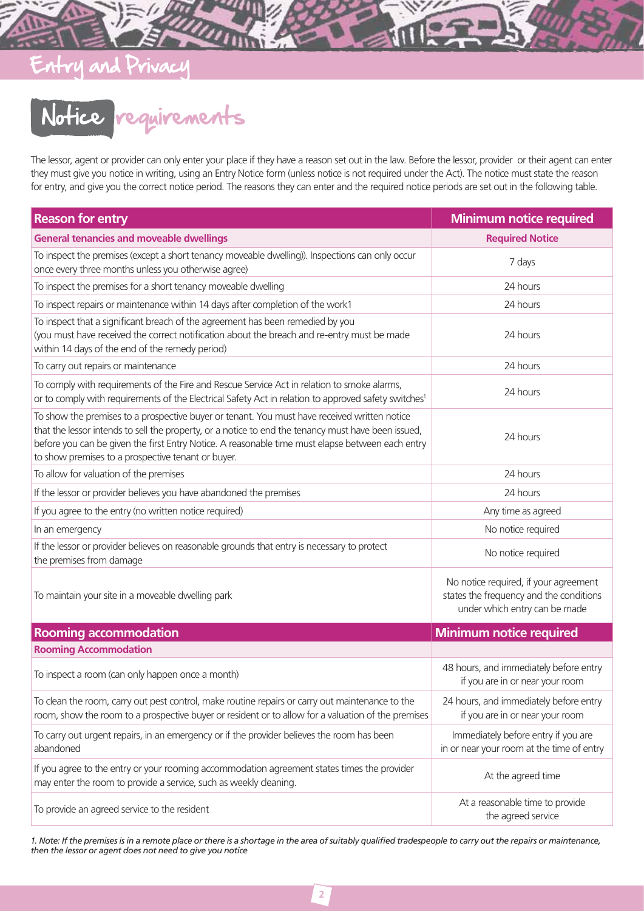### Entry and Privacy

# Notice requirements

The lessor, agent or provider can only enter your place if they have a reason set out in the law. Before the lessor, provider or their agent can enter they must give you notice in writing, using an Entry Notice form (unless notice is not required under the Act). The notice must state the reason for entry, and give you the correct notice period. The reasons they can enter and the required notice periods are set out in the following table.

| <b>Reason for entry</b>                                                                                                                                                                                                                                                                                                                                       | <b>Minimum notice required</b>                                                                                    |
|---------------------------------------------------------------------------------------------------------------------------------------------------------------------------------------------------------------------------------------------------------------------------------------------------------------------------------------------------------------|-------------------------------------------------------------------------------------------------------------------|
| <b>General tenancies and moveable dwellings</b>                                                                                                                                                                                                                                                                                                               | <b>Required Notice</b>                                                                                            |
| To inspect the premises (except a short tenancy moveable dwelling)). Inspections can only occur<br>once every three months unless you otherwise agree)                                                                                                                                                                                                        | 7 days                                                                                                            |
| To inspect the premises for a short tenancy moveable dwelling                                                                                                                                                                                                                                                                                                 | 24 hours                                                                                                          |
| To inspect repairs or maintenance within 14 days after completion of the work1                                                                                                                                                                                                                                                                                | 24 hours                                                                                                          |
| To inspect that a significant breach of the agreement has been remedied by you<br>(you must have received the correct notification about the breach and re-entry must be made<br>within 14 days of the end of the remedy period)                                                                                                                              | 24 hours                                                                                                          |
| To carry out repairs or maintenance                                                                                                                                                                                                                                                                                                                           | 24 hours                                                                                                          |
| To comply with requirements of the Fire and Rescue Service Act in relation to smoke alarms,<br>or to comply with requirements of the Electrical Safety Act in relation to approved safety switches <sup>1</sup>                                                                                                                                               | 24 hours                                                                                                          |
| To show the premises to a prospective buyer or tenant. You must have received written notice<br>that the lessor intends to sell the property, or a notice to end the tenancy must have been issued,<br>before you can be given the first Entry Notice. A reasonable time must elapse between each entry<br>to show premises to a prospective tenant or buyer. | 24 hours                                                                                                          |
| To allow for valuation of the premises                                                                                                                                                                                                                                                                                                                        | 24 hours                                                                                                          |
| If the lessor or provider believes you have abandoned the premises                                                                                                                                                                                                                                                                                            | 24 hours                                                                                                          |
| If you agree to the entry (no written notice required)                                                                                                                                                                                                                                                                                                        | Any time as agreed                                                                                                |
| In an emergency                                                                                                                                                                                                                                                                                                                                               | No notice required                                                                                                |
| If the lessor or provider believes on reasonable grounds that entry is necessary to protect<br>the premises from damage                                                                                                                                                                                                                                       | No notice required                                                                                                |
| To maintain your site in a moveable dwelling park                                                                                                                                                                                                                                                                                                             | No notice required, if your agreement<br>states the frequency and the conditions<br>under which entry can be made |
| <b>Rooming accommodation</b>                                                                                                                                                                                                                                                                                                                                  | <b>Minimum notice required</b>                                                                                    |
| <b>Rooming Accommodation</b>                                                                                                                                                                                                                                                                                                                                  |                                                                                                                   |
| To inspect a room (can only happen once a month)                                                                                                                                                                                                                                                                                                              | 48 hours, and immediately before entry<br>if you are in or near your room                                         |
| To clean the room, carry out pest control, make routine repairs or carry out maintenance to the<br>room, show the room to a prospective buyer or resident or to allow for a valuation of the premises                                                                                                                                                         | 24 hours, and immediately before entry<br>if you are in or near your room                                         |
| To carry out urgent repairs, in an emergency or if the provider believes the room has been<br>abandoned                                                                                                                                                                                                                                                       | Immediately before entry if you are<br>in or near your room at the time of entry                                  |
| If you agree to the entry or your rooming accommodation agreement states times the provider<br>may enter the room to provide a service, such as weekly cleaning.                                                                                                                                                                                              | At the agreed time                                                                                                |
| To provide an agreed service to the resident                                                                                                                                                                                                                                                                                                                  | At a reasonable time to provide<br>the agreed service                                                             |

1. Note: If the premises is in a remote place or there is a shortage in the area of suitably qualified tradespeople to carry out the repairs or maintenance, *then the lessor or agent does not need to give you notice*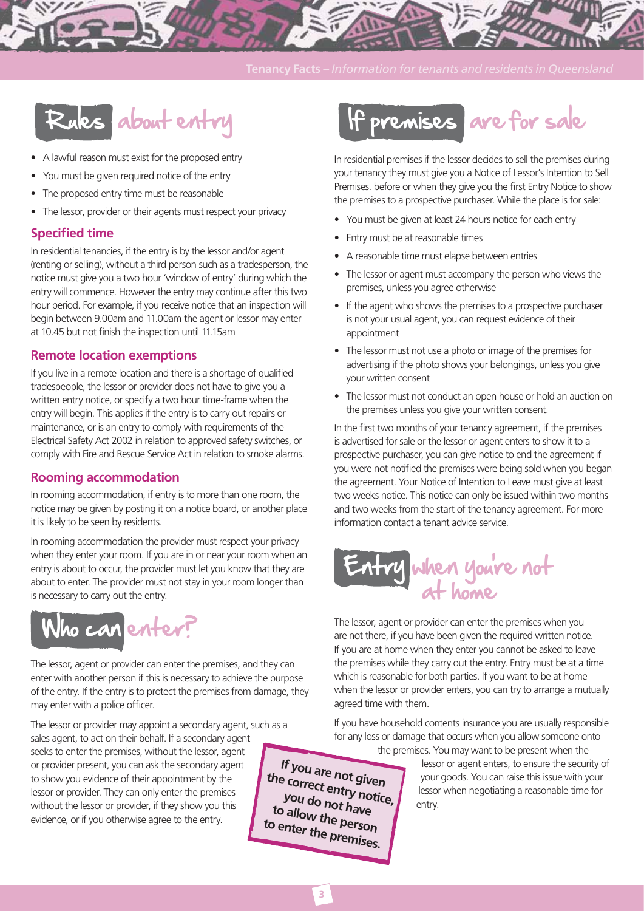

- A lawful reason must exist for the proposed entry
- You must be given required notice of the entry
- The proposed entry time must be reasonable
- The lessor, provider or their agents must respect your privacy

### **Specified time**

In residential tenancies, if the entry is by the lessor and/or agent (renting or selling), without a third person such as a tradesperson, the notice must give you a two hour 'window of entry' during which the entry will commence. However the entry may continue after this two hour period. For example, if you receive notice that an inspection will begin between 9.00am and 11.00am the agent or lessor may enter at 10.45 but not finish the inspection until 11.15am

### **Remote location exemptions**

If you live in a remote location and there is a shortage of qualified tradespeople, the lessor or provider does not have to give you a written entry notice, or specify a two hour time-frame when the entry will begin. This applies if the entry is to carry out repairs or maintenance, or is an entry to comply with requirements of the Electrical Safety Act 2002 in relation to approved safety switches, or comply with Fire and Rescue Service Act in relation to smoke alarms.

### **Rooming accommodation**

In rooming accommodation, if entry is to more than one room, the notice may be given by posting it on a notice board, or another place it is likely to be seen by residents.

In rooming accommodation the provider must respect your privacy when they enter your room. If you are in or near your room when an entry is about to occur, the provider must let you know that they are about to enter. The provider must not stay in your room longer than is necessary to carry out the entry.



The lessor, agent or provider can enter the premises, and they can enter with another person if this is necessary to achieve the purpose of the entry. If the entry is to protect the premises from damage, they may enter with a police officer.

The lessor or provider may appoint a secondary agent, such as a sales agent, to act on their behalf. If a secondary agent seeks to enter the premises, without the lessor, agent or provider present, you can ask the secondary agent to show you evidence of their appointment by the lessor or provider. They can only enter the premises without the lessor or provider, if they show you this evidence, or if you otherwise agree to the entry.



In residential premises if the lessor decides to sell the premises during your tenancy they must give you a Notice of Lessor's Intention to Sell Premises. before or when they give you the first Entry Notice to show the premises to a prospective purchaser. While the place is for sale:

- You must be given at least 24 hours notice for each entry
- Entry must be at reasonable times
- A reasonable time must elapse between entries
- The lessor or agent must accompany the person who views the premises, unless you agree otherwise
- If the agent who shows the premises to a prospective purchaser is not your usual agent, you can request evidence of their appointment
- The lessor must not use a photo or image of the premises for advertising if the photo shows your belongings, unless you give your written consent
- The lessor must not conduct an open house or hold an auction on the premises unless you give your written consent.

In the first two months of your tenancy agreement, if the premises is advertised for sale or the lessor or agent enters to show it to a prospective purchaser, you can give notice to end the agreement if you were not notified the premises were being sold when you began the agreement. Your Notice of Intention to Leave must give at least two weeks notice. This notice can only be issued within two months and two weeks from the start of the tenancy agreement. For more information contact a tenant advice service.



The lessor, agent or provider can enter the premises when you are not there, if you have been given the required written notice. If you are at home when they enter you cannot be asked to leave the premises while they carry out the entry. Entry must be at a time which is reasonable for both parties. If you want to be at home when the lessor or provider enters, you can try to arrange a mutually agreed time with them.

If you have household contents insurance you are usually responsible for any loss or damage that occurs when you allow someone onto

the premises. You may want to be present when the

lessor or agent enters, to ensure the security of your goods. You can raise this issue with your lessor when negotiating a reasonable time for entry.

**If you are not given the correct entry notice, you do not have to allow the person to enter the premises.**